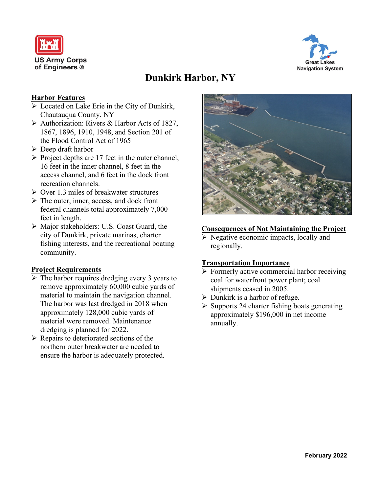



# **Dunkirk Harbor, NY**

# **Harbor Features**

- ➢ Located on Lake Erie in the City of Dunkirk, Chautauqua County, NY
- ➢ Authorization: Rivers & Harbor Acts of 1827, 1867, 1896, 1910, 1948, and Section 201 of the Flood Control Act of 1965
- ➢ Deep draft harbor
- ➢ Project depths are 17 feet in the outer channel, 16 feet in the inner channel, 8 feet in the access channel, and 6 feet in the dock front recreation channels.
- ➢ Over 1.3 miles of breakwater structures
- ➢ The outer, inner, access, and dock front federal channels total approximately 7,000 feet in length.
- ➢ Major stakeholders: U.S. Coast Guard, the city of Dunkirk, private marinas, charter fishing interests, and the recreational boating community.

# **Project Requirements**

- $\triangleright$  The harbor requires dredging every 3 years to remove approximately 60,000 cubic yards of material to maintain the navigation channel. The harbor was last dredged in 2018 when approximately 128,000 cubic yards of material were removed. Maintenance dredging is planned for 2022.
- $\triangleright$  Repairs to deteriorated sections of the northern outer breakwater are needed to ensure the harbor is adequately protected.



#### **Consequences of Not Maintaining the Project**

➢ Negative economic impacts, locally and regionally.

#### **Transportation Importance**

- ➢ Formerly active commercial harbor receiving coal for waterfront power plant; coal shipments ceased in 2005.
- $\triangleright$  Dunkirk is a harbor of refuge.
- $\triangleright$  Supports 24 charter fishing boats generating approximately \$196,000 in net income annually.